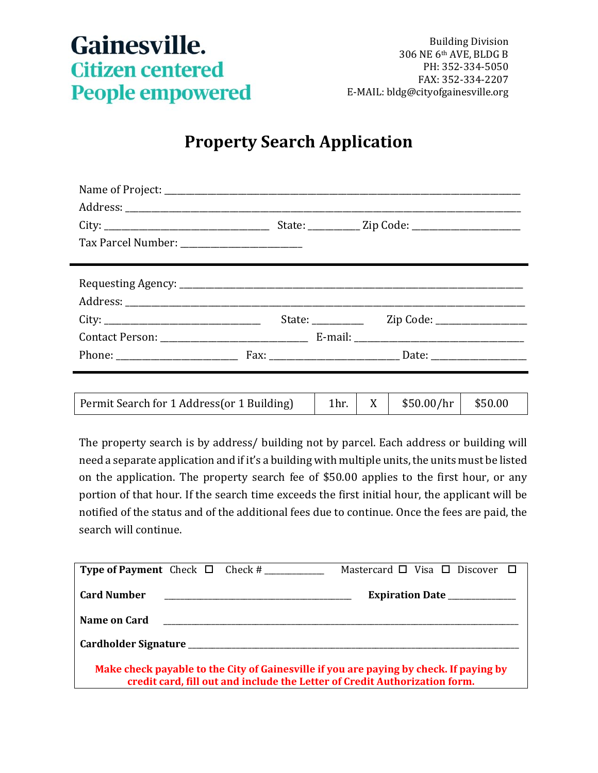## Gainesville. **Citizen centered People empowered**

## **Property Search Application**

| Tax Parcel Number: __________________________ |  |                      |          |                              |         |
|-----------------------------------------------|--|----------------------|----------|------------------------------|---------|
|                                               |  |                      |          |                              |         |
|                                               |  |                      |          |                              |         |
|                                               |  |                      |          |                              |         |
| City:                                         |  | State: $\frac{1}{2}$ |          | Zip Code: __________________ |         |
|                                               |  |                      |          |                              |         |
|                                               |  |                      |          |                              |         |
|                                               |  |                      |          |                              |         |
|                                               |  |                      |          |                              |         |
| Permit Search for 1 Address(or 1 Building)    |  | 1 <sup>hr.</sup>     | $X \mid$ | \$50.00/hr                   | \$50.00 |

The property search is by address/ building not by parcel. Each address or building will need a separate application and if it's a building with multiple units, the units must be listed on the application. The property search fee of \$50.00 applies to the first hour, or any portion of that hour. If the search time exceeds the first initial hour, the applicant will be notified of the status and of the additional fees due to continue. Once the fees are paid, the search will continue.

| <b>Type of Payment</b> Check $\Box$ Check #                                                                                                                          | Mastercard $\Box$ Visa $\Box$ Discover $\Box$ |  |  |  |  |
|----------------------------------------------------------------------------------------------------------------------------------------------------------------------|-----------------------------------------------|--|--|--|--|
| <b>Card Number</b>                                                                                                                                                   | Expiration Date ______________                |  |  |  |  |
| Name on Card<br><u> 2000 - 2000 - 2000 - 2000 - 2000 - 2000 - 2000 - 2000 - 2000 - 2000 - 2000 - 2000 - 2000 - 2000 - 2000 - 200</u>                                 |                                               |  |  |  |  |
|                                                                                                                                                                      |                                               |  |  |  |  |
| Make check payable to the City of Gainesville if you are paying by check. If paying by<br>credit card, fill out and include the Letter of Credit Authorization form. |                                               |  |  |  |  |